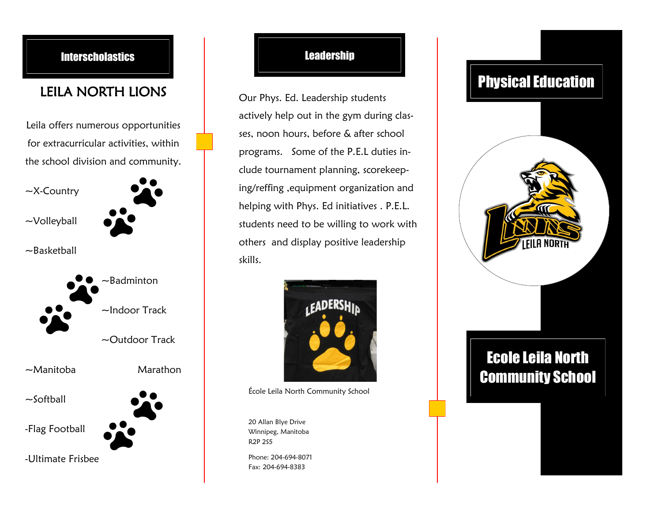

## **Leadership**

Our Phys. Ed. Leadership students actively help out in the gym during classes, noon hours, before & after school programs. Some of the P.E.L duties include tournament planning, scorekeeping/reffing ,equipment organization and helping with Phys. Ed initiatives . P.E.L. students need to be willing to work with others and display positive leadership skills.



École Leila North Community School

20 Allan Blye Drive Winnipeg, Manitoba R2P 2S5

Phone: 204-694-8071 Fax: 204-694-8383